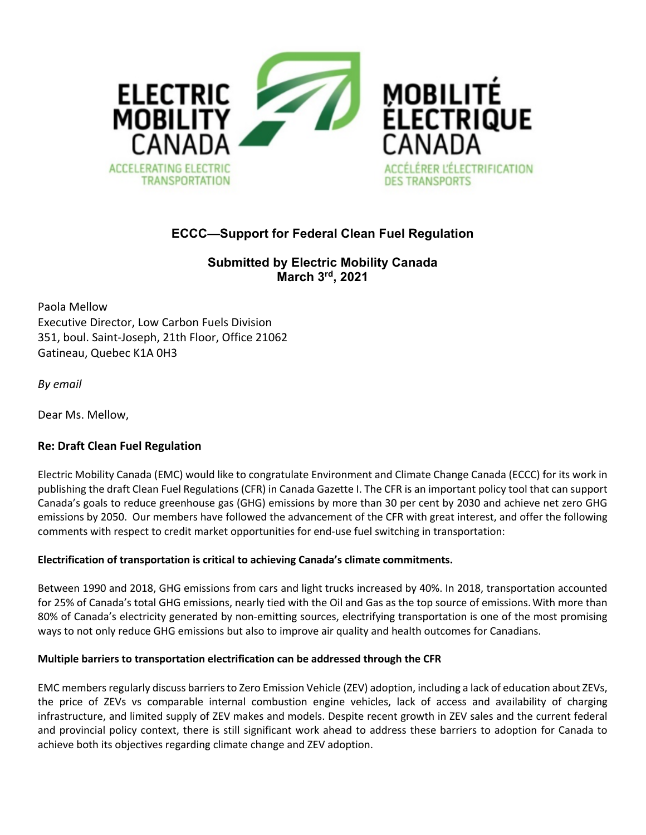

# **ECCC—Support for Federal Clean Fuel Regulation**

**Submitted by Electric Mobility Canada March 3rd, 2021**

Paola Mellow Executive Director, Low Carbon Fuels Division 351, boul. Saint-Joseph, 21th Floor, Office 21062 Gatineau, Quebec K1A 0H3

*By email*

Dear Ms. Mellow,

## **Re: Draft Clean Fuel Regulation**

Electric Mobility Canada (EMC) would like to congratulate Environment and Climate Change Canada (ECCC) for its work in publishing the draft Clean Fuel Regulations (CFR) in Canada Gazette I. The CFR is an important policy tool that can support Canada's goals to reduce greenhouse gas (GHG) emissions by more than 30 per cent by 2030 and achieve net zero GHG emissions by 2050. Our members have followed the advancement of the CFR with great interest, and offer the following comments with respect to credit market opportunities for end-use fuel switching in transportation:

#### **Electrification of transportation is critical to achieving Canada's climate commitments.**

Between 1990 and 2018, GHG emissions from cars and light trucks increased by 40%. In 2018, transportation accounted for 25% of Canada's total GHG emissions, nearly tied with the Oil and Gas as the top source of emissions.With more than 80% of Canada's electricity generated by non-emitting sources, electrifying transportation is one of the most promising ways to not only reduce GHG emissions but also to improve air quality and health outcomes for Canadians.

#### **Multiple barriers to transportation electrification can be addressed through the CFR**

EMC members regularly discuss barriers to Zero Emission Vehicle (ZEV) adoption, including a lack of education about ZEVs, the price of ZEVs vs comparable internal combustion engine vehicles, lack of access and availability of charging infrastructure, and limited supply of ZEV makes and models. Despite recent growth in ZEV sales and the current federal and provincial policy context, there is still significant work ahead to address these barriers to adoption for Canada to achieve both its objectives regarding climate change and ZEV adoption.